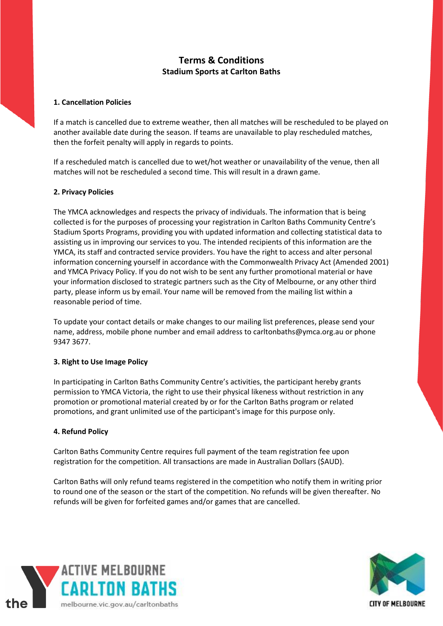# **Terms & Conditions Stadium Sports at Carlton Baths**

## **1. Cancellation Policies**

If a match is cancelled due to extreme weather, then all matches will be rescheduled to be played on another available date during the season. If teams are unavailable to play rescheduled matches, then the forfeit penalty will apply in regards to points.

If a rescheduled match is cancelled due to wet/hot weather or unavailability of the venue, then all matches will not be rescheduled a second time. This will result in a drawn game.

## **2. Privacy Policies**

The YMCA acknowledges and respects the privacy of individuals. The information that is being collected is for the purposes of processing your registration in Carlton Baths Community Centre's Stadium Sports Programs, providing you with updated information and collecting statistical data to assisting us in improving our services to you. The intended recipients of this information are the YMCA, its staff and contracted service providers. You have the right to access and alter personal information concerning yourself in accordance with the Commonwealth Privacy Act (Amended 2001) and YMCA Privacy Policy. If you do not wish to be sent any further promotional material or have your information disclosed to strategic partners such as the City of Melbourne, or any other third party, please inform us by email. Your name will be removed from the mailing list within a reasonable period of time.

To update your contact details or make changes to our mailing list preferences, please send your name, address, mobile phone number and email address to carltonbaths@ymca.org.au or phone 9347 3677.

#### **3. Right to Use Image Policy**

In participating in Carlton Baths Community Centre's activities, the participant hereby grants permission to YMCA Victoria, the right to use their physical likeness without restriction in any promotion or promotional material created by or for the Carlton Baths program or related promotions, and grant unlimited use of the participant's image for this purpose only.

#### **4. Refund Policy**

Carlton Baths Community Centre requires full payment of the team registration fee upon registration for the competition. All transactions are made in Australian Dollars (\$AUD).

Carlton Baths will only refund teams registered in the competition who notify them in writing prior to round one of the season or the start of the competition. No refunds will be given thereafter. No refunds will be given for forfeited games and/or games that are cancelled.